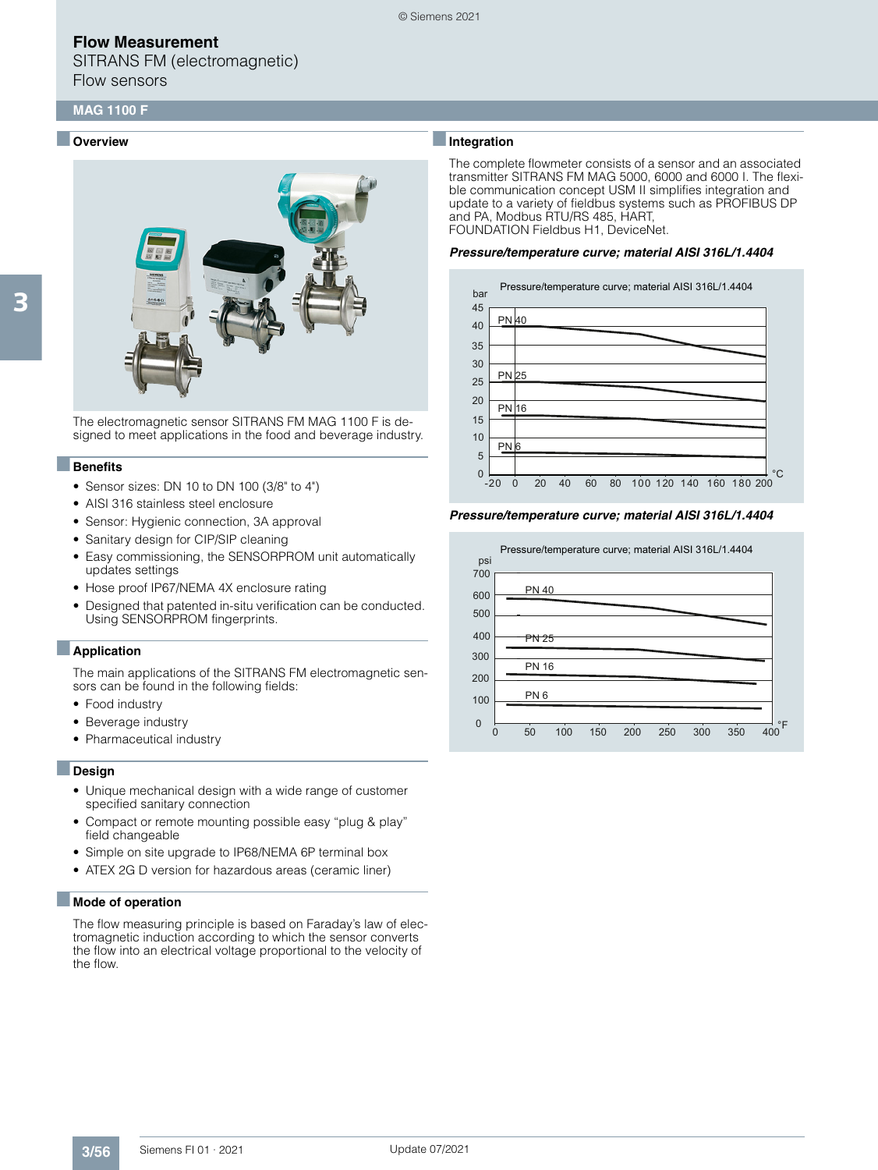SITRANS FM (electromagnetic) Flow sensors

#### ■ **Overview**



The electromagnetic sensor SITRANS FM MAG 1100 F is designed to meet applications in the food and beverage industry.

#### ■**Benefits**

- Sensor sizes: DN 10 to DN 100 (3/8" to 4")
- AISI 316 stainless steel enclosure
- Sensor: Hygienic connection, 3A approval
- Sanitary design for CIP/SIP cleaning
- Easy commissioning, the SENSORPROM unit automatically updates settings
- Hose proof IP67/NEMA 4X enclosure rating
- Designed that patented in-situ verification can be conducted. Using SENSORPROM fingerprints.

#### ■**Application**

The main applications of the SITRANS FM electromagnetic sensors can be found in the following fields:

- Food industry
- Beverage industry
- Pharmaceutical industry

#### ■**Design**

- Unique mechanical design with a wide range of customer specified sanitary connection
- Compact or remote mounting possible easy "plug & play" field changeable
- Simple on site upgrade to IP68/NEMA 6P terminal box
- ATEX 2G D version for hazardous areas (ceramic liner)

#### ■ **Mode of operation**

The flow measuring principle is based on Faraday's law of electromagnetic induction according to which the sensor converts the flow into an electrical voltage proportional to the velocity of the flow.

#### ■**Integration**

© Siemens 2021

The complete flowmeter consists of a sensor and an associated transmitter SITRANS FM MAG 5000, 6000 and 6000 I. The flexible communication concept USM II simplifies integration and update to a variety of fieldbus systems such as PROFIBUS DP and PA, Modbus RTU/RS 485, HART, FOUNDATION Fieldbus H1, DeviceNet.

#### *Pressure/temperature curve; material AISI 316L/1.4404*



*Pressure/temperature curve; material AISI 316L/1.4404*

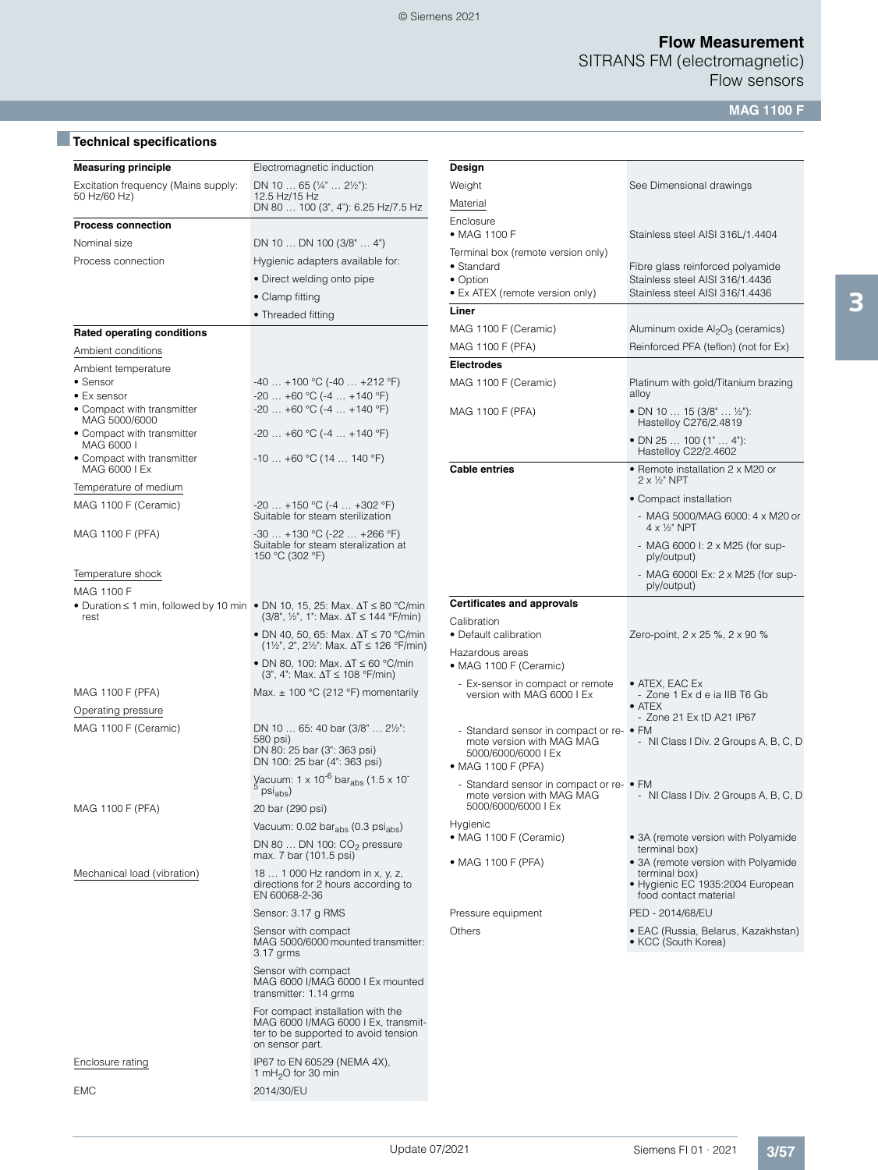SITRANS FM (electromagnetic)

Flow sensors

**MAG 1100 F**

# ■**Technical specifications**

| <b>Measuring principle</b>                  | Electromagnetic induction<br>De                                                                                                                                 |                    |  |  |  |  |
|---------------------------------------------|-----------------------------------------------------------------------------------------------------------------------------------------------------------------|--------------------|--|--|--|--|
| Excitation frequency (Mains supply:         | DN 10  65 ( $\frac{1}{4}$ "  2 $\frac{1}{2}$ "):                                                                                                                | W٤                 |  |  |  |  |
| 50 Hz/60 Hz)                                | 12.5 Hz/15 Hz<br>DN 80  100 (3", 4"): 6.25 Hz/7.5 Hz                                                                                                            | Ma                 |  |  |  |  |
| <b>Process connection</b>                   |                                                                                                                                                                 | En                 |  |  |  |  |
| Nominal size                                | DN 10  DN 100 (3/8"  4")                                                                                                                                        | • 1                |  |  |  |  |
| Process connection                          | Hygienic adapters available for:                                                                                                                                | Te                 |  |  |  |  |
|                                             | • Direct welding onto pipe                                                                                                                                      | • :<br>$\bullet$ ( |  |  |  |  |
|                                             | • Clamp fitting                                                                                                                                                 | • [                |  |  |  |  |
|                                             | • Threaded fitting                                                                                                                                              | Lit                |  |  |  |  |
| <b>Rated operating conditions</b>           |                                                                                                                                                                 | M/                 |  |  |  |  |
| Ambient conditions                          |                                                                                                                                                                 | M                  |  |  |  |  |
| Ambient temperature                         |                                                                                                                                                                 | Eŀ                 |  |  |  |  |
| • Sensor                                    | $-40+100$ °C ( $-40+212$ °F)                                                                                                                                    | M                  |  |  |  |  |
| • Ex sensor                                 | $-20$ +60 °C (-4  +140 °F)                                                                                                                                      |                    |  |  |  |  |
| • Compact with transmitter<br>MAG 5000/6000 | $-20+60$ °C (-4  +140 °F)                                                                                                                                       | M                  |  |  |  |  |
| • Compact with transmitter<br>MAG 6000 I    | $-20+60$ °C (-4  +140 °F)                                                                                                                                       |                    |  |  |  |  |
| • Compact with transmitter<br>MAG 6000 I Ex | $-10+60$ °C (14  140 °F)                                                                                                                                        | Cε                 |  |  |  |  |
| Temperature of medium                       |                                                                                                                                                                 |                    |  |  |  |  |
| MAG 1100 F (Ceramic)                        | $-20$ +150 °C (-4  +302 °F)<br>Suitable for steam sterilization                                                                                                 |                    |  |  |  |  |
| MAG 1100 F (PFA)                            | $-30+130$ °C ( $-22+266$ °F)<br>Suitable for steam steralization at<br>150 °C (302 °F)                                                                          |                    |  |  |  |  |
| Temperature shock                           |                                                                                                                                                                 |                    |  |  |  |  |
| MAG 1100 F                                  |                                                                                                                                                                 |                    |  |  |  |  |
| rest                                        | • Duration $\leq$ 1 min, followed by 10 min • DN 10, 15, 25: Max. $\Delta T \leq 80$ °C/min<br>$(3/8^{\circ}, 1^{\circ})$ ; 1": Max. $\Delta T \le 144$ °F/min) | Cе<br>Cε           |  |  |  |  |
|                                             | • DN 40, 50, 65: Max. $\Delta T \le 70$ °C/min<br>$(1\frac{1}{2}$ ", 2", 2½": Max. $\Delta T \le 126$ °F/min)                                                   | • [<br>Hε          |  |  |  |  |
|                                             | • DN 80, 100: Max. ∆T ≤ 60 °C/min<br>$(3^{\circ}, 4^{\circ}$ : Max. $\Delta T \le 108$ °F/min)                                                                  | • 1                |  |  |  |  |
| MAG 1100 F (PFA)                            | Max. $\pm$ 100 °C (212 °F) momentarily                                                                                                                          |                    |  |  |  |  |
| Operating pressure                          |                                                                                                                                                                 |                    |  |  |  |  |
| MAG 1100 F (Ceramic)                        | DN 10  65: 40 bar (3/8"  21/2":<br>580 psi)<br>DN 80: 25 bar (3": 363 psi)<br>DN 100: 25 bar (4": 363 psi)                                                      |                    |  |  |  |  |
|                                             | Vacuum: 1 x 10 <sup>-6</sup> bar <sub>abs</sub> (1.5 x 10 <sup>-6</sup> psi <sub>abs</sub> )                                                                    | • 1                |  |  |  |  |
| MAG 1100 F (PFA)                            | 20 bar (290 psi)                                                                                                                                                |                    |  |  |  |  |
|                                             | Vacuum: 0.02 bar <sub>abs</sub> (0.3 psi <sub>abs</sub> )                                                                                                       | Нy                 |  |  |  |  |
|                                             | DN 80  DN 100: $CO_2$ pressure<br>max. 7 bar (101.5 psi)                                                                                                        | • 1                |  |  |  |  |
| Mechanical load (vibration)                 | 18  1 000 Hz random in x, y, z,<br>directions for 2 hours according to<br>EN 60068-2-36                                                                         | • ⊺                |  |  |  |  |
|                                             | Sensor: 3.17 g RMS                                                                                                                                              | Pr                 |  |  |  |  |
|                                             | Sensor with compact<br>MAG 5000/6000 mounted transmitter:<br>3.17 grms                                                                                          | Ot                 |  |  |  |  |
|                                             | Sensor with compact<br>MAG 6000 I/MAG 6000 I Ex mounted<br>transmitter: 1.14 grms                                                                               |                    |  |  |  |  |
|                                             | For compact installation with the<br>MAG 6000 I/MAG 6000 I Ex, transmit-<br>ter to be supported to avoid tension<br>on sensor part.                             |                    |  |  |  |  |
| Enclosure rating                            | IP67 to EN 60529 (NEMA 4X),<br>1 mH <sub>2</sub> O for 30 min                                                                                                   |                    |  |  |  |  |
| <b>EMC</b>                                  | 2014/30/EU                                                                                                                                                      |                    |  |  |  |  |

| Design                                                                                          |                                                                                                                                    |
|-------------------------------------------------------------------------------------------------|------------------------------------------------------------------------------------------------------------------------------------|
| Weight                                                                                          | See Dimensional drawings                                                                                                           |
| Material                                                                                        |                                                                                                                                    |
| Enclosure                                                                                       |                                                                                                                                    |
| • MAG 1100 F                                                                                    | Stainless steel AISI 316L/1.4404                                                                                                   |
| Terminal box (remote version only)<br>• Standard<br>• Option<br>• Ex ATEX (remote version only) | Fibre glass reinforced polyamide<br>Stainless steel AISI 316/1.4436<br>Stainless steel AISI 316/1.4436                             |
| Liner                                                                                           |                                                                                                                                    |
| MAG 1100 F (Ceramic)                                                                            | Aluminum oxide $\mathsf{Al}_2\mathsf{O}_3$ (ceramics)                                                                              |
| MAG 1100 F (PFA)                                                                                | Reinforced PFA (teflon) (not for Ex)                                                                                               |
| <b>Electrodes</b>                                                                               |                                                                                                                                    |
| MAG 1100 F (Ceramic)                                                                            | Platinum with gold/Titanium brazing<br>alloy                                                                                       |
| MAG 1100 F (PFA)                                                                                | ● DN 10 … 15 (3/8" … ½"):<br>Hastelloy C276/2.4819                                                                                 |
|                                                                                                 | • DN 25 … 100 (1" … 4"):<br>Hastelloy C22/2.4602                                                                                   |
| <b>Cable entries</b>                                                                            | • Remote installation 2 x M20 or<br>$2 \times 1/2$ " NPT                                                                           |
|                                                                                                 | • Compact installation                                                                                                             |
|                                                                                                 | - MAG 5000/MAG 6000: 4 x M20 or<br>$4 \times \frac{1}{2}$ " NPT                                                                    |
|                                                                                                 | - MAG 6000 l: 2 x M25 (for sup-<br>ply/output)                                                                                     |
|                                                                                                 | - MAG 60001 Ex: 2 x M25 (for sup-<br>ply/output)                                                                                   |
| <b>Certificates and approvals</b>                                                               |                                                                                                                                    |
| Calibration<br>• Default calibration                                                            | Zero-point, 2 x 25 %, 2 x 90 %                                                                                                     |
| Hazardous areas<br>• MAG 1100 F (Ceramic)                                                       |                                                                                                                                    |
| - Ex-sensor in compact or remote<br>version with MAG 6000 I Ex                                  | $\bullet$ ATEX, EAC Ex<br>- Zone 1 Ex d e ia IIB T6 Gb                                                                             |
|                                                                                                 | $\bullet$ ATEX<br>- Zone 21 Ex tD A21 IP67                                                                                         |
| - Standard sensor in compact or re- • FM                                                        |                                                                                                                                    |
| mote version with MAG MAG<br>5000/6000/6000   Ex<br>• MAG 1100 F (PFA)                          | - NI Class I Div. 2 Groups A, B, C, D                                                                                              |
| - Standard sensor in compact or re- • FM<br>mote version with MAG MAG<br>5000/6000/6000 I Ex    | - NI Class I Div. 2 Groups A, B, C, D                                                                                              |
| Hygienic<br>• MAG 1100 F (Ceramic)                                                              | • 3A (remote version with Polyamide                                                                                                |
| • MAG 1100 F (PFA)                                                                              | terminal box)<br>• 3A (remote version with Polyamide<br>terminal box)<br>• Hygienic EC 1935:2004 European<br>food contact material |
| Pressure equipment                                                                              | PED - 2014/68/EU                                                                                                                   |
|                                                                                                 | • EAC (Russia, Belarus, Kazakhstan)                                                                                                |

3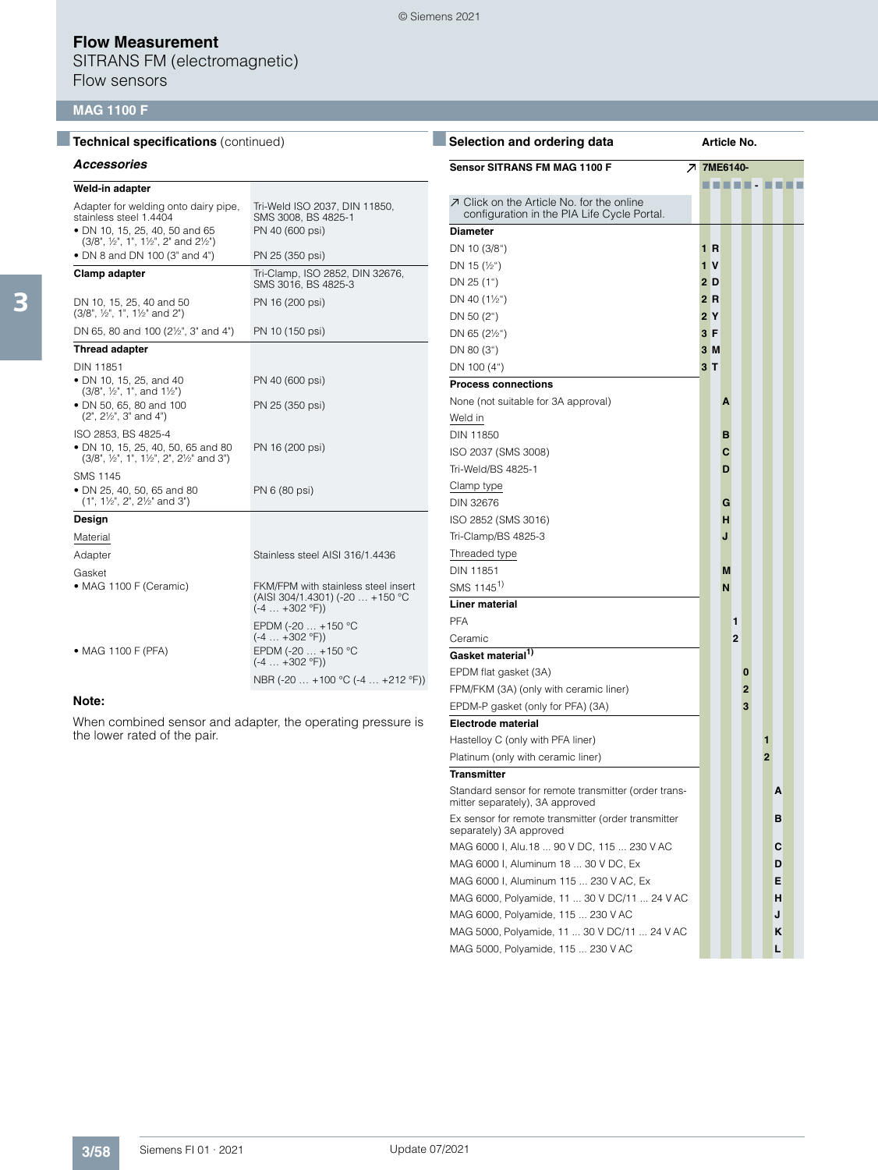SITRANS FM (electromagnetic) Flow sensors

### **MAG 1100 F**

| <b>Technical specifications (continued)</b>                                                            |                                                                                                   | <b>Select</b>                          |
|--------------------------------------------------------------------------------------------------------|---------------------------------------------------------------------------------------------------|----------------------------------------|
| <b>Accessories</b>                                                                                     |                                                                                                   | Sensor                                 |
| Weld-in adapter                                                                                        |                                                                                                   |                                        |
| Adapter for welding onto dairy pipe,<br>stainless steel 1.4404                                         | Tri-Weld ISO 2037, DIN 11850,<br>SMS 3008, BS 4825-1                                              | <b>フ Click</b><br>confi                |
| · DN 10, 15, 25, 40, 50 and 65<br>(3/8", 1/2", 1", 11/2", 2" and 21/2")                                | PN 40 (600 psi)                                                                                   | <b>Diamete</b>                         |
| • DN 8 and DN 100 (3" and 4")                                                                          | PN 25 (350 psi)                                                                                   | DN 10 (                                |
| <b>Clamp adapter</b>                                                                                   | Tri-Clamp, ISO 2852, DIN 32676,<br>SMS 3016, BS 4825-3                                            | DN 15 (1<br>DN 25 (                    |
| DN 10, 15, 25, 40 and 50<br>(3/8", 1/2", 1", 11/2" and 2")                                             | PN 16 (200 psi)                                                                                   | DN 40 (<br>DN 50 (2                    |
| DN 65, 80 and 100 (2 <sup>1/2"</sup> , 3" and 4")                                                      | PN 10 (150 psi)                                                                                   | DN 65 (2                               |
| <b>Thread adapter</b>                                                                                  |                                                                                                   | DN 80 (                                |
| DIN 11851                                                                                              |                                                                                                   | DN 100                                 |
| • DN 10, 15, 25, and 40<br>(3/8", ½", 1", and 1½")                                                     | PN 40 (600 psi)                                                                                   | <b>Process</b>                         |
| · DN 50, 65, 80 and 100<br>$(2", 2\frac{1}{2", 3"$ and $4")$                                           | PN 25 (350 psi)                                                                                   | None (n<br>Weld in                     |
| ISO 2853, BS 4825-4<br>• DN 10, 15, 25, 40, 50, 65 and 80<br>(3/8", 1/2", 1", 11/2", 2", 21/2" and 3") | PN 16 (200 psi)                                                                                   | <b>DIN 118</b><br><b>ISO 203</b>       |
| <b>SMS 1145</b><br>· DN 25, 40, 50, 65 and 80<br>(1", 1½", 2", 2½" and 3")                             | PN 6 (80 psi)                                                                                     | Tri-Weld<br>Clamp ty<br><b>DIN 326</b> |
| Design                                                                                                 |                                                                                                   | <b>ISO 285</b>                         |
| Material                                                                                               |                                                                                                   | Tri-Clam                               |
| Adapter                                                                                                | Stainless steel AISI 316/1.4436                                                                   | Threade                                |
| Gasket                                                                                                 |                                                                                                   | <b>DIN 118</b>                         |
| • MAG 1100 F (Ceramic)                                                                                 | FKM/FPM with stainless steel insert<br>(AISI 304/1.4301) (-20  +150 °C<br>$(-4  +302 \degree F))$ | SMS 114<br>Liner m                     |
|                                                                                                        | EPDM (-20  +150 °C                                                                                | <b>PFA</b>                             |
|                                                                                                        | $(-4  +302 °F))$                                                                                  | Ceramic                                |
| • MAG 1100 F (PFA)                                                                                     | EPDM (-20  +150 °C<br>$(-4  +302 \degree F))$                                                     | Gasket                                 |
|                                                                                                        | NBR (-20  +100 °C (-4  +212 °F))                                                                  | EPDM fl                                |
|                                                                                                        |                                                                                                   | FPM/FKI                                |

#### **Note:**

When combined sensor and adapter, the operating pressure is the lower rated of the pair.

| Selection and ordering data                                                              | Article No. |   |                |                |  |                |  |  |
|------------------------------------------------------------------------------------------|-------------|---|----------------|----------------|--|----------------|--|--|
| <b>Sensor SITRANS FM MAG 1100 F</b><br>↗                                                 | 7ME6140-    |   |                |                |  |                |  |  |
|                                                                                          |             |   |                | .              |  |                |  |  |
| ○ Click on the Article No. for the online<br>configuration in the PIA Life Cycle Portal. |             |   |                |                |  |                |  |  |
| <b>Diameter</b>                                                                          |             |   |                |                |  |                |  |  |
| DN 10 (3/8")                                                                             | 1 R         |   |                |                |  |                |  |  |
| DN 15 $(\frac{1}{2})$                                                                    | 1 V         |   |                |                |  |                |  |  |
| DN 25 (1")                                                                               | 2D          |   |                |                |  |                |  |  |
| DN 40 (1½")                                                                              | 2 R         |   |                |                |  |                |  |  |
| DN 50 (2")                                                                               | 2Y          |   |                |                |  |                |  |  |
| DN 65 (21/2")                                                                            | 3 F         |   |                |                |  |                |  |  |
| DN 80 (3")                                                                               | 3M          |   |                |                |  |                |  |  |
| DN 100 (4")                                                                              | 3 T         |   |                |                |  |                |  |  |
| <b>Process connections</b>                                                               |             |   |                |                |  |                |  |  |
| None (not suitable for 3A approval)                                                      |             | Α |                |                |  |                |  |  |
| Weld in                                                                                  |             |   |                |                |  |                |  |  |
| DIN 11850                                                                                |             | в |                |                |  |                |  |  |
| ISO 2037 (SMS 3008)                                                                      |             | C |                |                |  |                |  |  |
| Tri-Weld/BS 4825-1                                                                       |             | D |                |                |  |                |  |  |
| Clamp type                                                                               |             |   |                |                |  |                |  |  |
| DIN 32676                                                                                |             | G |                |                |  |                |  |  |
| ISO 2852 (SMS 3016)                                                                      |             | н |                |                |  |                |  |  |
| Tri-Clamp/BS 4825-3                                                                      |             | J |                |                |  |                |  |  |
| Threaded type                                                                            |             |   |                |                |  |                |  |  |
| <b>DIN 11851</b>                                                                         |             | М |                |                |  |                |  |  |
| SMS 1145 <sup>1)</sup>                                                                   |             | N |                |                |  |                |  |  |
| <b>Liner material</b>                                                                    |             |   |                |                |  |                |  |  |
| <b>PFA</b>                                                                               |             |   | 1              |                |  |                |  |  |
| Ceramic                                                                                  |             |   | $\overline{2}$ |                |  |                |  |  |
| Gasket material <sup>1)</sup>                                                            |             |   |                |                |  |                |  |  |
| EPDM flat gasket (3A)                                                                    |             |   |                | 0              |  |                |  |  |
| FPM/FKM (3A) (only with ceramic liner)                                                   |             |   |                | $\overline{2}$ |  |                |  |  |
| EPDM-P gasket (only for PFA) (3A)                                                        |             |   |                | 3              |  |                |  |  |
| <b>Electrode material</b>                                                                |             |   |                |                |  |                |  |  |
| Hastelloy C (only with PFA liner)                                                        |             |   |                |                |  | 1              |  |  |
| Platinum (only with ceramic liner)                                                       |             |   |                |                |  | $\overline{2}$ |  |  |
| <b>Transmitter</b>                                                                       |             |   |                |                |  |                |  |  |
| Standard sensor for remote transmitter (order trans-<br>mitter separately), 3A approved  |             |   |                |                |  | А              |  |  |
| Ex sensor for remote transmitter (order transmitter<br>separately) 3A approved           |             |   |                |                |  | в              |  |  |
| MAG 6000 I, Alu.18  90 V DC, 115  230 V AC                                               |             |   |                |                |  | c              |  |  |
| MAG 6000 I, Aluminum 18  30 V DC, Ex                                                     |             |   |                |                |  | D              |  |  |
| MAG 6000 I, Aluminum 115  230 V AC, Ex                                                   |             |   |                |                |  | Е              |  |  |
| MAG 6000, Polyamide, 11  30 V DC/11  24 V AC                                             |             |   |                |                |  | н              |  |  |
| MAG 6000, Polyamide, 115  230 V AC                                                       |             |   |                |                |  | J              |  |  |
| MAG 5000, Polyamide, 11  30 V DC/11  24 V AC                                             |             |   |                |                |  | κ              |  |  |
| MAG 5000, Polyamide, 115  230 V AC                                                       |             |   |                |                |  | L              |  |  |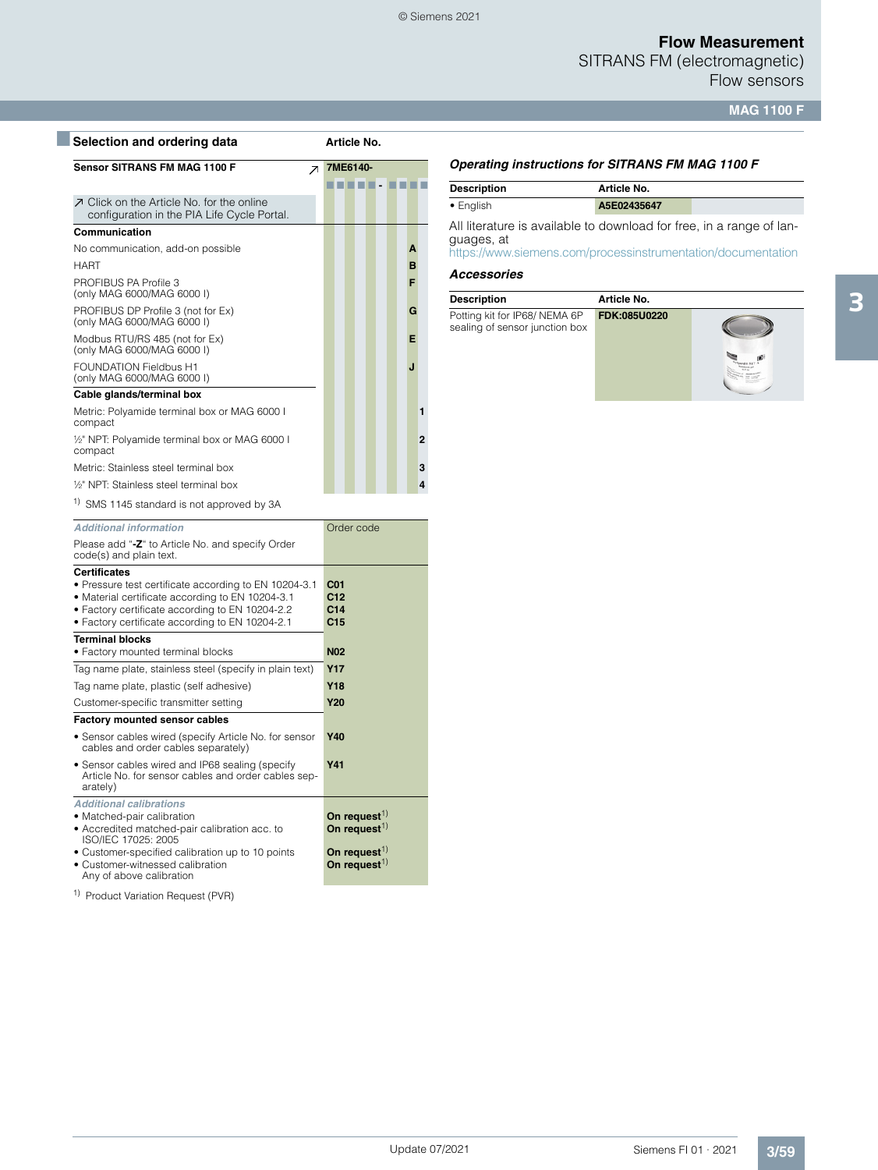SITRANS FM (electromagnetic) Flow sensors

**MAG 1100 F**

| Selection and ordering data                                                                     |                          | Article No. |  |   |                  |  |
|-------------------------------------------------------------------------------------------------|--------------------------|-------------|--|---|------------------|--|
| <b>Sensor SITRANS FM MAG 1100 F</b>                                                             | $\overline{\phantom{a}}$ | 7ME6140-    |  |   |                  |  |
| <b>7</b> Click on the Article No. for the online<br>configuration in the PIA Life Cycle Portal. |                          |             |  |   |                  |  |
| Communication                                                                                   |                          |             |  |   |                  |  |
| No communication, add-on possible                                                               |                          |             |  | A |                  |  |
| <b>HART</b>                                                                                     |                          |             |  | B |                  |  |
| PROFIBUS PA Profile 3<br>(only MAG 6000/MAG 6000 I)                                             |                          |             |  | F |                  |  |
| PROFIBUS DP Profile 3 (not for Ex)<br>(only MAG 6000/MAG 6000 I)                                |                          |             |  | G |                  |  |
| Modbus RTU/RS 485 (not for Ex)<br>(only MAG 6000/MAG 6000 I)                                    |                          |             |  | Е |                  |  |
| <b>FOUNDATION Fieldbus H1</b><br>(only MAG 6000/MAG 6000 I)                                     |                          |             |  | J |                  |  |
| Cable glands/terminal box                                                                       |                          |             |  |   |                  |  |
| Metric: Polyamide terminal box or MAG 6000 I<br>compact                                         |                          |             |  |   | 1                |  |
| 1/2" NPT: Polyamide terminal box or MAG 6000 I<br>compact                                       |                          |             |  |   | $\overline{2}$   |  |
| Metric: Stainless steel terminal box                                                            |                          |             |  |   | 3                |  |
| 1/ <sub>2</sub> " NPT: Stainless steel terminal box                                             |                          |             |  |   | $\boldsymbol{A}$ |  |
| <sup>1)</sup> SMS 1145 standard is not approved by 3A                                           |                          |             |  |   |                  |  |

| Sivis 1145 startuard is not approved by SA                                                                                                                                                                                             |                                                              |
|----------------------------------------------------------------------------------------------------------------------------------------------------------------------------------------------------------------------------------------|--------------------------------------------------------------|
| <b>Additional information</b>                                                                                                                                                                                                          | Order code                                                   |
| Please add "-Z" to Article No. and specify Order<br>code(s) and plain text.                                                                                                                                                            |                                                              |
| <b>Certificates</b><br>• Pressure test certificate according to EN 10204-3.1<br>• Material certificate according to EN 10204-3.1<br>• Factory certificate according to EN 10204-2.2<br>• Factory certificate according to EN 10204-2.1 | C <sub>01</sub><br>C12<br>C <sub>14</sub><br>C <sub>15</sub> |
| <b>Terminal blocks</b><br>· Factory mounted terminal blocks                                                                                                                                                                            | <b>N02</b>                                                   |
| Tag name plate, stainless steel (specify in plain text)                                                                                                                                                                                | <b>Y17</b>                                                   |
| Tag name plate, plastic (self adhesive)                                                                                                                                                                                                | <b>Y18</b>                                                   |
| Customer-specific transmitter setting                                                                                                                                                                                                  | <b>Y20</b>                                                   |
| <b>Factory mounted sensor cables</b>                                                                                                                                                                                                   |                                                              |
| • Sensor cables wired (specify Article No. for sensor<br>cables and order cables separately)                                                                                                                                           | <b>Y40</b>                                                   |
| · Sensor cables wired and IP68 sealing (specify<br>Article No. for sensor cables and order cables sep-<br>arately)                                                                                                                     | Y41                                                          |
| <b>Additional calibrations</b><br>· Matched-pair calibration<br>· Accredited matched-pair calibration acc. to<br>ISO/IEC 17025: 2005                                                                                                   | On request $^{1)}$<br>On request $^{1)}$                     |
| • Customer-specified calibration up to 10 points<br>• Customer-witnessed calibration<br>Any of above calibration                                                                                                                       | On request $^{1)}$<br>On request $^{1)}$                     |

1) Product Variation Request (PVR)

#### *Operating instructions for SITRANS FM MAG 1100 F*

| <b>Description</b> | Article No. |  |
|--------------------|-------------|--|
| $\bullet$ English  | A5E02435647 |  |

All literature is available to download for free, in a range of languages, at

<https://www.siemens.com/processinstrumentation/documentation>

#### *Accessories*

| <b>Description</b>                                             | Article No.  |  |
|----------------------------------------------------------------|--------------|--|
| Potting kit for IP68/NEMA 6P<br>sealing of sensor junction box | FDK:085U0220 |  |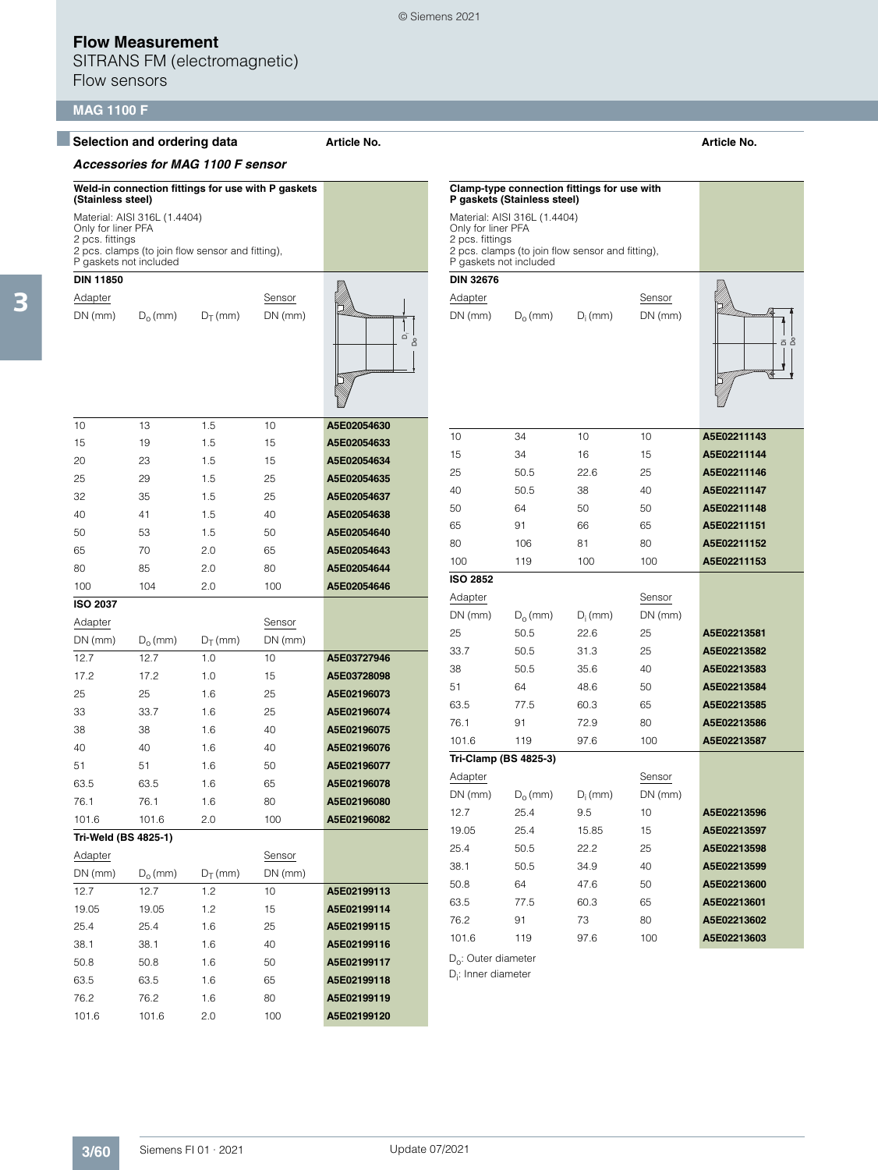SITRANS FM (electromagnetic) Flow sensors

### **MAG 1100 F**

#### ■**Selection and ordering data Article No. Article No.**

#### *Accessories for MAG 1100 F sensor*

**Weld-in connection fittings for use with P gaskets (Stainless steel)** Material: AISI 316L (1.4404) Only for liner PFA 2 pcs. fittings 2 pcs. clamps (to join flow sensor and fitting), P gaskets not included

# **DIN 11850**

Adapter Sensor  $DN (mm)$   $D_0 (mm)$   $D_T (mm)$  DN (mm)



© Siemens 2021

| A5E02054630 | 10 | 1.5 | 13 | 10 |
|-------------|----|-----|----|----|
| A5E02054633 | 15 | 1.5 | 19 | 15 |
| A5E02054634 | 15 | 1.5 | 23 | 20 |
| A5E02054635 | 25 | 1.5 | 29 | 25 |
| A5E02054637 | 25 | 1.5 | 35 | 32 |
| A5E02054638 | 40 | 1.5 | 41 | 40 |
| A5E02054640 | 50 | 1.5 | 53 | 50 |
| A5E02054643 | 65 | 2.0 | 70 | 65 |
| A5E02054644 | 80 | 2.0 | 85 | 80 |

100 104 2.0 100 **A5E02054646**

| <b>ISO 2037</b>      |            |            |           |             |
|----------------------|------------|------------|-----------|-------------|
| Adapter              |            |            | Sensor    |             |
| $DN$ (mm)            | $D_0$ (mm) | $D_T$ (mm) | $DN$ (mm) |             |
| 12.7                 | 12.7       | 1.0        | 10        | A5E03727946 |
| 17.2                 | 17.2       | 1.0        | 15        | A5E03728098 |
| 25                   | 25         | 1.6        | 25        | A5E02196073 |
| 33                   | 33.7       | 1.6        | 25        | A5E02196074 |
| 38                   | 38         | 1.6        | 40        | A5E02196075 |
| 40                   | 40         | 1.6        | 40        | A5E02196076 |
| 51                   | 51         | 1.6        | 50        | A5E02196077 |
| 63.5                 | 63.5       | 1.6        | 65        | A5E02196078 |
| 76.1                 | 76.1       | 1.6        | 80        | A5E02196080 |
| 101.6                | 101.6      | 2.0        | 100       | A5E02196082 |
| Tri-Weld (BS 4825-1) |            |            |           |             |
| Adapter              |            |            | Sensor    |             |
| $DN$ (mm)            | $D_0$ (mm) | $D_T$ (mm) | $DN$ (mm) |             |
| 12.7                 | 12.7       | 1.2        | 10        | A5E02199113 |
| 19.05                | 19.05      | 1.2        | 15        | A5E02199114 |
| 25.4                 | 25.4       | 1.6        | 25        | A5E02199115 |
| 38.1                 | 38.1       | 1.6        | 40        | A5E02199116 |

50.8 50.8 1.6 50 **A5E02199117** 63.5 63.5 1.6 65 **A5E02199118** 76.2 76.2 1.6 80 **A5E02199119** 101.6 101.6 2.0 100 **A5E02199120**

|                                                                 | Clamp-type connection fittings for use with<br>P gaskets (Stainless steel)       |            |           |             |
|-----------------------------------------------------------------|----------------------------------------------------------------------------------|------------|-----------|-------------|
| Only for liner PFA<br>2 pcs. fittings<br>P gaskets not included | Material: AISI 316L (1.4404)<br>2 pcs. clamps (to join flow sensor and fitting), |            |           |             |
| <b>DIN 32676</b>                                                |                                                                                  |            |           |             |
| Adapter                                                         |                                                                                  |            | Sensor    |             |
| DN (mm)                                                         | $D_0$ (mm)                                                                       | $D_i$ (mm) | $DN$ (mm) | ة ة         |
| 10                                                              | 34                                                                               | 10         | 10        | A5E02211143 |
| 15                                                              | 34                                                                               | 16         | 15        | A5E02211144 |
| 25                                                              | 50.5                                                                             | 22.6       | 25        | A5E02211146 |
| 40                                                              | 50.5                                                                             | 38         | 40        | A5E02211147 |
| 50                                                              | 64                                                                               | 50         | 50        | A5E02211148 |
| 65                                                              | 91                                                                               | 66         | 65        | A5E02211151 |
| 80                                                              | 106                                                                              | 81         | 80        | A5E02211152 |
| 100                                                             | 119                                                                              | 100        | 100       | A5E02211153 |
| <b>ISO 2852</b>                                                 |                                                                                  |            |           |             |
| Adapter                                                         |                                                                                  |            | Sensor    |             |
| $DN$ (mm)                                                       | $D_0$ (mm)                                                                       | $D_i$ (mm) | $DN$ (mm) |             |
| 25                                                              | 50.5                                                                             | 22.6       | 25        | A5E02213581 |
| 33.7                                                            | 50.5                                                                             | 31.3       | 25        | A5E02213582 |
| 38                                                              | 50.5                                                                             | 35.6       | 40        | A5E02213583 |
| 51                                                              | 64                                                                               | 48.6       | 50        | A5E02213584 |
| 63.5                                                            | 77.5                                                                             | 60.3       | 65        | A5E02213585 |
| 76.1                                                            | 91                                                                               | 72.9       | 80        | A5E02213586 |
| 101.6                                                           | 119                                                                              | 97.6       | 100       | A5E02213587 |
| Tri-Clamp (BS 4825-3)                                           |                                                                                  |            |           |             |
| Adapter                                                         |                                                                                  |            | Sensor    |             |
| DN (mm)                                                         | $D_{o}$ (mm)                                                                     | $D_i$ (mm) | $DN$ (mm) |             |
| 12.7                                                            | 25.4                                                                             | 9.5        | 10        | A5E02213596 |
| 19.05                                                           | 25.4                                                                             | 15.85      | 15        | A5E02213597 |
| 25.4                                                            | 50.5                                                                             | 22.2       | 25        | A5E02213598 |
| 38.1                                                            | 50.5                                                                             | 34.9       | 40        | A5E02213599 |
| 50.8                                                            | 64                                                                               | 47.6       | 50        | A5E02213600 |
| 63.5                                                            | 77.5                                                                             | 60.3       | 65        | A5E02213601 |
| 76.2                                                            | 91                                                                               | 73         | 80        | A5E02213602 |
| 101.6                                                           | 119                                                                              | 97.6       | 100       | A5E02213603 |

 $D_0$ : Outer diameter

D<sub>i</sub>: Inner diameter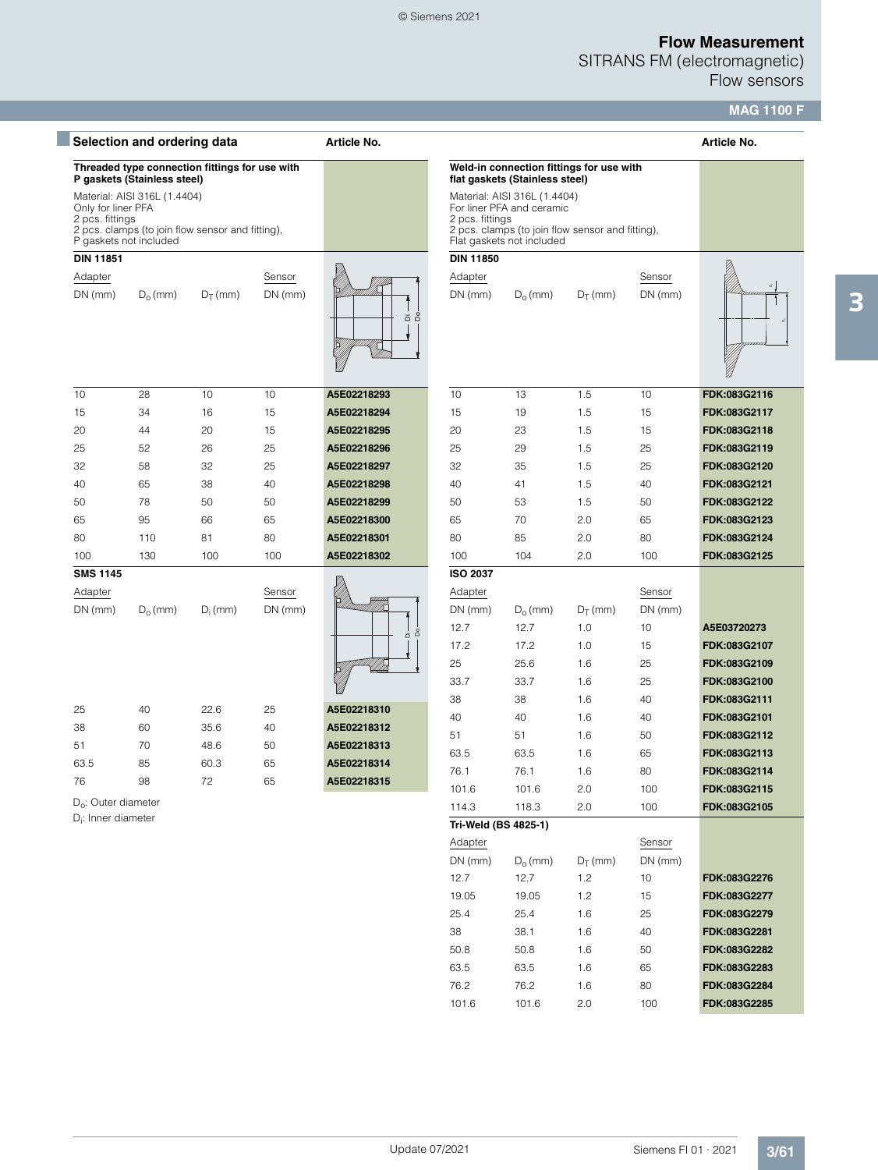SITRANS FM (electromagnetic) Flow sensors

**MAG 1100 F**

|                                                                 | Selection and ordering data                                                      |            |                     | Article No. |                                                                                                                                                               |                                                                            |                   |                           | Article No.  |
|-----------------------------------------------------------------|----------------------------------------------------------------------------------|------------|---------------------|-------------|---------------------------------------------------------------------------------------------------------------------------------------------------------------|----------------------------------------------------------------------------|-------------------|---------------------------|--------------|
|                                                                 | Threaded type connection fittings for use with<br>P gaskets (Stainless steel)    |            |                     |             |                                                                                                                                                               | Weld-in connection fittings for use with<br>flat gaskets (Stainless steel) |                   |                           |              |
| Only for liner PFA<br>2 pcs. fittings<br>P gaskets not included | Material: AISI 316L (1.4404)<br>2 pcs. clamps (to join flow sensor and fitting), |            |                     |             | Material: AISI 316L (1.4404)<br>For liner PFA and ceramic<br>2 pcs. fittings<br>2 pcs. clamps (to join flow sensor and fitting),<br>Flat gaskets not included |                                                                            |                   |                           |              |
| <b>DIN 11851</b>                                                |                                                                                  |            |                     |             | <b>DIN 11850</b>                                                                                                                                              |                                                                            |                   |                           |              |
| Adapter<br>$DN$ (mm)                                            | $D_0$ (mm)                                                                       | $D_T$ (mm) | Sensor<br>$DN$ (mm) | ã å         | Adapter<br>$DN$ (mm)                                                                                                                                          | $D_0$ (mm)                                                                 | $D_T$ (mm)        | Sensor<br>$DN$ (mm)       |              |
| 10                                                              | 28                                                                               | 10         | 10                  | A5E02218293 | 10                                                                                                                                                            | 13                                                                         | 1.5               | 10                        | FDK:083G2116 |
| 15                                                              | 34                                                                               | 16         | 15                  | A5E02218294 | 15                                                                                                                                                            | 19                                                                         | 1.5               | 15                        | FDK:083G2117 |
| 20                                                              | 44                                                                               | 20         | 15                  | A5E02218295 | 20                                                                                                                                                            | 23                                                                         | 1.5               | 15                        | FDK:083G2118 |
| 25                                                              | 52                                                                               | 26         | 25                  | A5E02218296 | 25                                                                                                                                                            | 29                                                                         | 1.5               | 25                        | FDK:083G2119 |
| 32                                                              | 58                                                                               | 32         | 25                  | A5E02218297 | 32                                                                                                                                                            | 35                                                                         | 1.5               | 25                        | FDK:083G2120 |
| 40                                                              | 65                                                                               | 38         | 40                  | A5E02218298 | 40                                                                                                                                                            | 41                                                                         | 1.5               | 40                        | FDK:083G2121 |
| 50                                                              | 78                                                                               | 50         | 50                  | A5E02218299 | 50                                                                                                                                                            | 53                                                                         | 1.5               | 50                        | FDK:083G2122 |
| 65                                                              | 95                                                                               | 66         | 65                  | A5E02218300 | 65                                                                                                                                                            | 70                                                                         | 2.0               | 65                        | FDK:083G2123 |
| 80                                                              | 110                                                                              | 81         | 80                  | A5E02218301 | 80                                                                                                                                                            | 85                                                                         | 2.0               | 80                        | FDK:083G2124 |
| 100                                                             | 130                                                                              | 100        | 100                 | A5E02218302 | 100                                                                                                                                                           | 104                                                                        | 2.0               | 100                       | FDK:083G2125 |
| <b>SMS 1145</b>                                                 |                                                                                  |            |                     |             | <b>ISO 2037</b>                                                                                                                                               |                                                                            |                   |                           |              |
| Adapter<br>$DN$ (mm)                                            | $D_0$ (mm)                                                                       | $D_i$ (mm) | Sensor<br>$DN$ (mm) |             | Adapter<br>$DN$ (mm)<br>12.7                                                                                                                                  | $D_0$ (mm)<br>12.7                                                         | $D_T$ (mm)<br>1.0 | Sensor<br>$DN$ (mm)<br>10 | A5E03720273  |
|                                                                 |                                                                                  |            |                     | å<br>ä      | 17.2                                                                                                                                                          | 17.2                                                                       | 1.0               | 15                        | FDK:083G2107 |
|                                                                 |                                                                                  |            |                     |             | 25                                                                                                                                                            | 25.6                                                                       | 1.6               | 25                        | FDK:083G2109 |
|                                                                 |                                                                                  |            |                     |             | 33.7                                                                                                                                                          | 33.7                                                                       | 1.6               | 25                        | FDK:083G2100 |
|                                                                 |                                                                                  |            |                     |             | 38                                                                                                                                                            | 38                                                                         | 1.6               | 40                        | FDK:083G2111 |
| 25                                                              | 40                                                                               | 22.6       | 25                  | A5E02218310 | 40                                                                                                                                                            | 40                                                                         | 1.6               | 40                        | FDK:083G2101 |
| 38                                                              | 60                                                                               | 35.6       | 40                  | A5E02218312 | 51                                                                                                                                                            | 51                                                                         | 1.6               | 50                        | FDK:083G2112 |
| 51                                                              | 70                                                                               | 48.6       | 50                  | A5E02218313 | 63.5                                                                                                                                                          | 63.5                                                                       | 1.6               | 65                        | FDK:083G2113 |
| 63.5                                                            | 85                                                                               | 60.3       | 65                  | A5E02218314 | 76.1                                                                                                                                                          | 76.1                                                                       | 1.6               | 80                        | FDK:083G2114 |
| 76                                                              | 98                                                                               | 72         | 65                  | A5E02218315 | 101.6                                                                                                                                                         | 101.6                                                                      | 2.0               | 100                       | FDK:083G2115 |
| D <sub>o</sub> : Outer diameter                                 |                                                                                  |            |                     |             | 114.3                                                                                                                                                         | 118.3                                                                      | 2.0               | 100                       | FDK:083G2105 |
| D <sub>i</sub> : Inner diameter                                 |                                                                                  |            |                     |             | Tri-Weld (BS 4825-1)                                                                                                                                          |                                                                            |                   |                           |              |
|                                                                 |                                                                                  |            |                     |             | Adapter                                                                                                                                                       |                                                                            |                   | Sensor                    |              |
|                                                                 |                                                                                  |            |                     |             | $DN$ (mm)                                                                                                                                                     | $D_0$ (mm)                                                                 | $D_T$ (mm)        | $DN$ (mm)                 |              |
|                                                                 |                                                                                  |            |                     |             | 12.7                                                                                                                                                          | 12.7                                                                       | 1.2               | $10$                      | FDK:083G2276 |
|                                                                 |                                                                                  |            |                     |             | 19.05                                                                                                                                                         | 19.05                                                                      | 1.2               | 15                        | FDK:083G2277 |
|                                                                 |                                                                                  |            |                     |             | 25.4                                                                                                                                                          | 25.4                                                                       | 1.6               | 25                        | FDK:083G2279 |
|                                                                 |                                                                                  |            |                     |             | 38                                                                                                                                                            | 38.1                                                                       | 1.6               | 40                        | FDK:083G2281 |
|                                                                 |                                                                                  |            |                     |             | 50.8                                                                                                                                                          | 50.8                                                                       | 1.6               | 50                        | FDK:083G2282 |

Update 07/2021

63.5 63.5 1.6 65 **FDK:083G2283** 76.2 76.2 1.6 80 **FDK:083G2284** 101.6 101.6 2.0 100 **FDK:083G2285**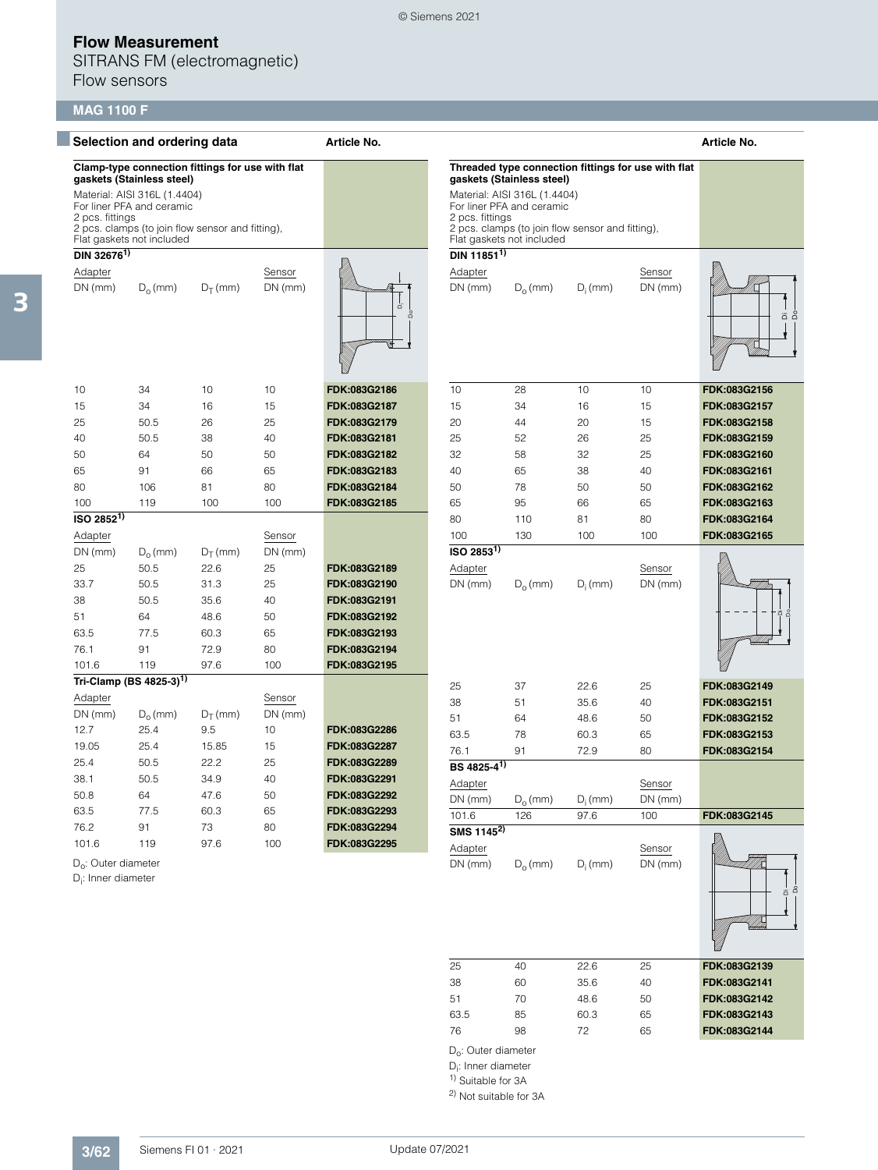SITRANS FM (electromagnetic) Flow sensors

# **MAG 1100 F**

| Selection and ordering data                                                                                                                                   |                                     |            | Article No.                                                                                      |              |                                                     |              |            | Article No.         |              |
|---------------------------------------------------------------------------------------------------------------------------------------------------------------|-------------------------------------|------------|--------------------------------------------------------------------------------------------------|--------------|-----------------------------------------------------|--------------|------------|---------------------|--------------|
| Clamp-type connection fittings for use with flat<br>gaskets (Stainless steel)<br>Material: AISI 316L (1.4404)<br>For liner PFA and ceramic<br>2 pcs. fittings |                                     |            |                                                                                                  |              | Threaded type connection fittings for use with flat |              |            |                     |              |
|                                                                                                                                                               |                                     |            |                                                                                                  |              |                                                     |              |            |                     |              |
| 2 pcs. clamps (to join flow sensor and fitting),<br>Flat gaskets not included                                                                                 |                                     |            | 2 pcs. fittings<br>2 pcs. clamps (to join flow sensor and fitting),<br>Flat gaskets not included |              |                                                     |              |            |                     |              |
| DIN 326761)                                                                                                                                                   |                                     |            |                                                                                                  |              | DIN 11851 <sup>1)</sup>                             |              |            |                     |              |
| Adapter                                                                                                                                                       |                                     |            | Sensor                                                                                           |              | Adapter                                             |              |            | Sensor              |              |
| $DN$ (mm)                                                                                                                                                     | $D_0$ (mm)                          | $D_T$ (mm) | $DN$ (mm)                                                                                        | ä<br>å       | $DN$ (mm)                                           | $D_0$ (mm)   | $D_i$ (mm) | $DN$ (mm)           |              |
| 10                                                                                                                                                            | 34                                  | 10         | 10                                                                                               | FDK:083G2186 | 10                                                  | 28           | 10         | 10                  | FDK:083G2156 |
| 15                                                                                                                                                            | 34                                  | 16         | 15                                                                                               | FDK:083G2187 | 15                                                  | 34           | 16         | 15                  | FDK:083G2157 |
| 25                                                                                                                                                            | 50.5                                | 26         | 25                                                                                               | FDK:083G2179 | 20                                                  | 44           | 20         | 15                  | FDK:083G2158 |
| 40                                                                                                                                                            | 50.5                                | 38         | 40                                                                                               | FDK:083G2181 | 25                                                  | 52           | 26         | 25                  | FDK:083G2159 |
| 50                                                                                                                                                            | 64                                  | 50         | 50                                                                                               | FDK:083G2182 | 32                                                  | 58           | 32         | 25                  | FDK:083G2160 |
| 65                                                                                                                                                            | 91                                  | 66         | 65                                                                                               | FDK:083G2183 | 40                                                  | 65           | 38         | 40                  | FDK:083G2161 |
| 80                                                                                                                                                            | 106                                 | 81         | 80                                                                                               | FDK:083G2184 | 50                                                  | 78           | 50         | 50                  | FDK:083G2162 |
| 100                                                                                                                                                           | 119                                 | 100        | 100                                                                                              | FDK:083G2185 | 65                                                  | 95           | 66         | 65                  | FDK:083G2163 |
| $ISO$ 2852 <sup>1)</sup>                                                                                                                                      |                                     |            |                                                                                                  |              | 80                                                  | 110          | 81         | 80                  | FDK:083G2164 |
| Adapter                                                                                                                                                       |                                     |            | Sensor                                                                                           |              | 100                                                 | 130          | 100        | 100                 | FDK:083G2165 |
| $DN$ (mm)                                                                                                                                                     | $D_0$ (mm)                          | $D_T$ (mm) | $DN$ (mm)                                                                                        |              | $ISO$ 2853 <sup>1)</sup>                            |              |            |                     |              |
| 25                                                                                                                                                            | 50.5                                | 22.6       | 25                                                                                               | FDK:083G2189 | Adapter                                             |              |            | Sensor              |              |
| 33.7                                                                                                                                                          | 50.5                                | 31.3       | 25                                                                                               | FDK:083G2190 | $DN$ (mm)                                           | $D_0$ (mm)   | $D_i$ (mm) | $DN$ (mm)           |              |
| 38                                                                                                                                                            | 50.5                                | 35.6       | 40                                                                                               | FDK:083G2191 |                                                     |              |            |                     |              |
| 51                                                                                                                                                            | 64                                  | 48.6       | 50                                                                                               | FDK:083G2192 |                                                     |              |            |                     |              |
| 63.5                                                                                                                                                          | 77.5                                | 60.3       | 65                                                                                               | FDK:083G2193 |                                                     |              |            |                     |              |
| 76.1                                                                                                                                                          | 91                                  | 72.9       | 80                                                                                               | FDK:083G2194 |                                                     |              |            |                     |              |
| 101.6                                                                                                                                                         | 119                                 | 97.6       | 100                                                                                              | FDK:083G2195 |                                                     |              |            |                     |              |
|                                                                                                                                                               | Tri-Clamp (BS 4825-3) <sup>1)</sup> |            |                                                                                                  |              |                                                     |              |            |                     |              |
| Adapter                                                                                                                                                       |                                     |            | Sensor                                                                                           |              | 25                                                  | 37           | 22.6       | 25                  | FDK:083G2149 |
| $DN$ (mm)                                                                                                                                                     | $D_{o}$ (mm)                        | $D_T$ (mm) | $DN$ (mm)                                                                                        |              | 38                                                  | 51           | 35.6       | 40                  | FDK:083G2151 |
| 12.7                                                                                                                                                          | 25.4                                | 9.5        | 10                                                                                               | FDK:083G2286 | 51                                                  | 64           | 48.6       | 50                  | FDK:083G2152 |
| 19.05                                                                                                                                                         | 25.4                                | 15.85      | 15                                                                                               | FDK:083G2287 | 63.5                                                | 78           | 60.3       | 65                  | FDK:083G2153 |
| 25.4                                                                                                                                                          | 50.5                                | 22.2       | 25                                                                                               | FDK:083G2289 | 76.1                                                | 91           | 72.9       | 80                  | FDK:083G2154 |
| 38.1                                                                                                                                                          | 50.5                                | 34.9       | 40                                                                                               | FDK:083G2291 | BS 4825-4 <sup>1)</sup>                             |              |            |                     |              |
| 50.8                                                                                                                                                          | 64                                  | 47.6       | 50                                                                                               | FDK:083G2292 | Adapter                                             |              |            | Sensor              |              |
| 63.5                                                                                                                                                          | 77.5                                | 60.3       | 65                                                                                               | FDK:083G2293 | $DN$ (mm)                                           | $D_{o}$ (mm) | $D_i$ (mm) | $DN$ (mm)           |              |
| 76.2                                                                                                                                                          | 91                                  | 73         | 80                                                                                               | FDK:083G2294 | 101.6                                               | 126          | 97.6       | 100                 | FDK:083G2145 |
| 101.6                                                                                                                                                         | 119                                 | 97.6       | 100                                                                                              | FDK:083G2295 | SMS 1145 <sup>2)</sup>                              |              |            |                     |              |
| $D_{0}$ : Outer diameter<br>$D_i$ : Inner diameter                                                                                                            |                                     |            |                                                                                                  |              | Adapter<br>$DN$ (mm)                                | $D_0$ (mm)   | $D_i$ (mm) | Sensor<br>$DN$ (mm) |              |

© Siemens 2021

| <b>Auapter</b><br>$DN$ (mm) | $D_0$ (mm) | $D_i$ (mm) | UCITOUI<br>$DN$ (mm) | å<br>ä       |
|-----------------------------|------------|------------|----------------------|--------------|
| 25                          | 40         | 22.6       | 25                   | FDK:083G2139 |
| 38                          | 60         | 35.6       | 40                   | FDK:083G2141 |
| 51                          | 70         | 48.6       | 50                   | FDK:083G2142 |
| 63.5                        | 85         | 60.3       | 65                   | FDK:083G2143 |
| 76                          | 98         | 72         | 65                   | FDK:083G2144 |
|                             |            |            |                      |              |

ã å

Di Do

D<sub>o</sub>: Outer diameter

D<sub>i</sub>: Inner diameter <sup>1)</sup> Suitable for 3A

2) Not suitable for 3A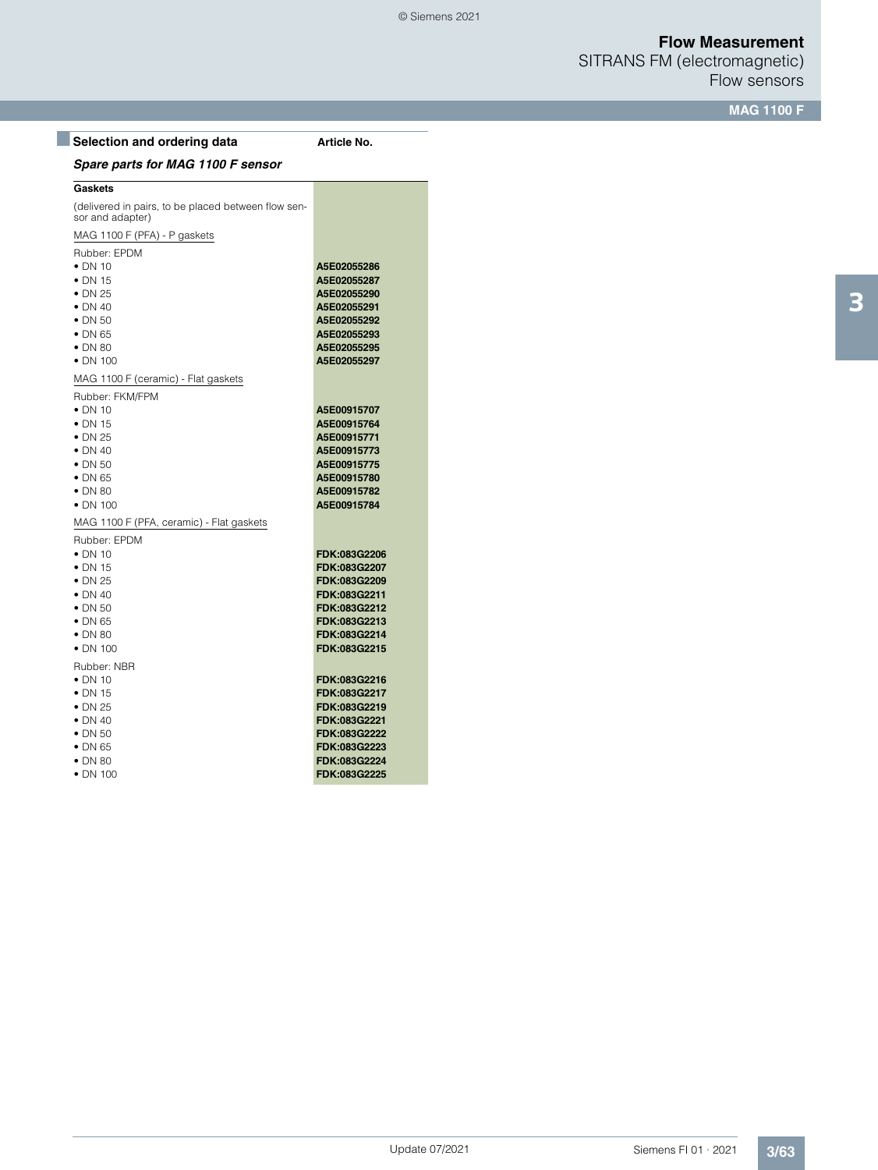SITRANS FM (electromagnetic) Flow sensors

**MAG 1100 F**

| Selection and ordering data                                             | Article No.  |
|-------------------------------------------------------------------------|--------------|
| Spare parts for MAG 1100 F sensor                                       |              |
| <b>Gaskets</b>                                                          |              |
| (delivered in pairs, to be placed between flow sen-<br>sor and adapter) |              |
| MAG 1100 F (PFA) - P gaskets                                            |              |
| Rubber: EPDM                                                            |              |
| $\bullet$ DN 10                                                         | A5E02055286  |
| $\bullet$ DN 15                                                         | A5E02055287  |
| $\bullet$ DN 25                                                         | A5E02055290  |
| $\bullet$ DN 40                                                         | A5E02055291  |
| $\bullet$ DN 50                                                         | A5E02055292  |
| $\bullet$ DN 65                                                         | A5E02055293  |
| $\bullet$ DN 80                                                         | A5E02055295  |
| $\bullet$ DN 100                                                        | A5E02055297  |
| MAG 1100 F (ceramic) - Flat gaskets                                     |              |
| Rubber: FKM/FPM                                                         |              |
| $\bullet$ DN 10                                                         | A5E00915707  |
| $\bullet$ DN 15                                                         | A5E00915764  |
| $\bullet$ DN 25                                                         | A5E00915771  |
| $\bullet$ DN 40                                                         | A5E00915773  |
| $\bullet$ DN 50                                                         | A5E00915775  |
| $\bullet$ DN 65                                                         | A5E00915780  |
| $\bullet$ DN 80                                                         | A5E00915782  |
| $\bullet$ DN 100                                                        | A5E00915784  |
| MAG 1100 F (PFA, ceramic) - Flat gaskets                                |              |
| Rubber: EPDM                                                            |              |
| $\bullet$ DN 10                                                         | FDK:083G2206 |
| $\bullet$ DN 15                                                         | FDK:083G2207 |
| $\bullet$ DN 25                                                         | FDK:083G2209 |
| $\bullet$ DN 40                                                         | FDK:083G2211 |
| $\bullet$ DN 50                                                         | FDK:083G2212 |
| $\bullet$ DN 65                                                         | FDK:083G2213 |
| $\bullet$ DN 80                                                         | FDK:083G2214 |
| $\bullet$ DN 100                                                        | FDK:083G2215 |
| Rubber: NBR                                                             |              |
| $\bullet$ DN 10                                                         | FDK:083G2216 |
| $\bullet$ DN 15                                                         | FDK:083G2217 |
| $\bullet$ DN 25                                                         | FDK:083G2219 |
| $\bullet$ DN 40                                                         | FDK:083G2221 |
| $\bullet$ DN 50                                                         | FDK:083G2222 |
| $\bullet$ DN 65                                                         | FDK:083G2223 |
| $\bullet$ DN 80                                                         | FDK:083G2224 |

• DN 100 **FDK:083G2225**

3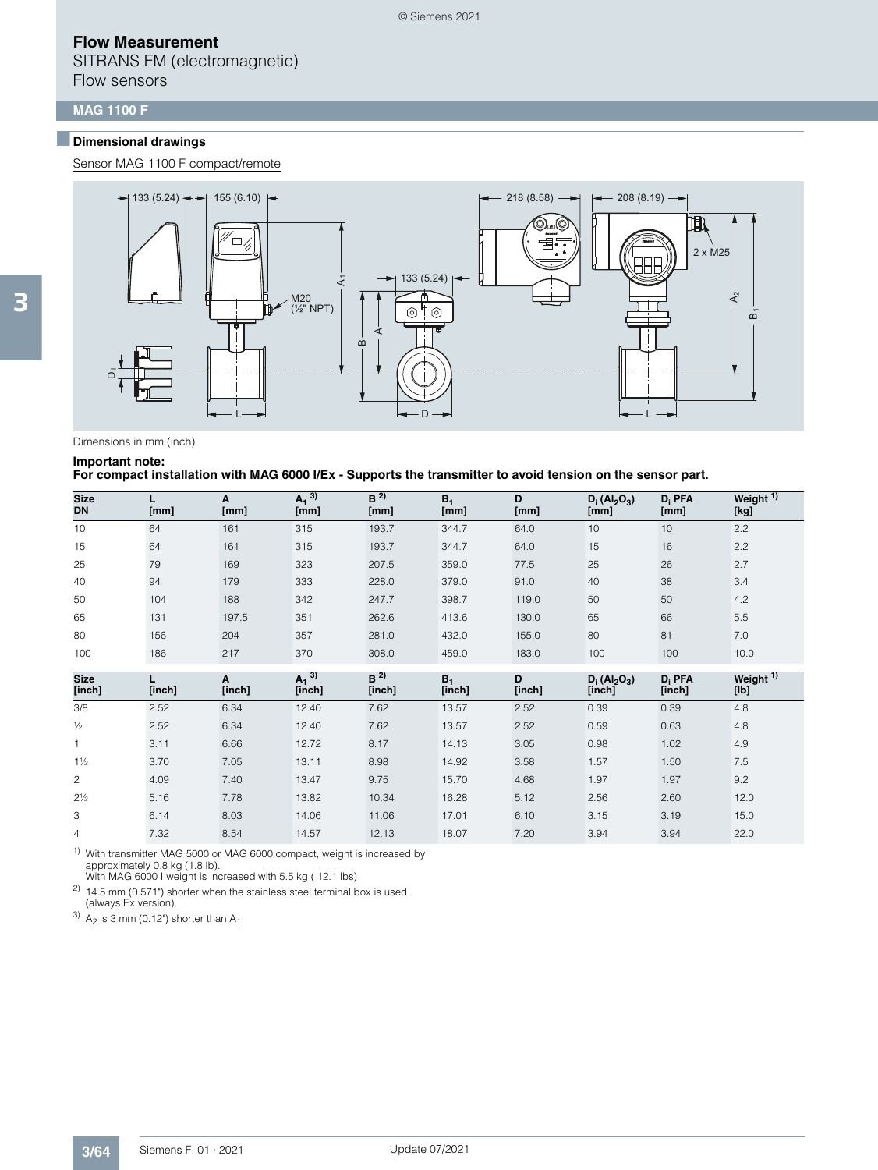SITRANS FM (electromagnetic) Flow sensors

### **MAG 1100 F**

## ■**Dimensional drawings**

Sensor MAG 1100 F compact/remote



#### Dimensions in mm (inch)

#### **Important note:**

#### **For compact installation with MAG 6000 I/Ex - Supports the transmitter to avoid tension on the sensor part.**

| <b>Size</b><br><b>DN</b> | [mm] | A<br>[mm] | $A_1$ <sup>3)</sup><br>[mm] | B <sup>2</sup><br>[mm] | $B_1$<br>[mm] | D<br>[mm] | $D_i (Al_2O_3)$<br>[mm] | $D_i$ PFA<br>[mm] | Weight $\overline{1}$<br>[kg] |
|--------------------------|------|-----------|-----------------------------|------------------------|---------------|-----------|-------------------------|-------------------|-------------------------------|
| 10                       | 64   | 161       | 315                         | 193.7                  | 344.7         | 64.0      | 10                      | 10                | 2.2                           |
| 15                       | 64   | 161       | 315                         | 193.7                  | 344.7         | 64.0      | 15                      | 16                | 2.2                           |
| 25                       | 79   | 169       | 323                         | 207.5                  | 359.0         | 77.5      | 25                      | 26                | 2.7                           |
| 40                       | 94   | 179       | 333                         | 228.0                  | 379.0         | 91.0      | 40                      | 38                | 3.4                           |
| 50                       | 104  | 188       | 342                         | 247.7                  | 398.7         | 119.0     | 50                      | 50                | 4.2                           |
| 65                       | 131  | 197.5     | 351                         | 262.6                  | 413.6         | 130.0     | 65                      | 66                | 5.5                           |
| 80                       | 156  | 204       | 357                         | 281.0                  | 432.0         | 155.0     | 80                      | 81                | 7.0                           |
| 100                      | 186  | 217       | 370                         | 308.0                  | 459.0         | 183.0     | 100                     | 100               | 10.0                          |

| <b>Size</b><br>[inch] | [inch] | A<br>[inch] | $A_1$ <sup>3)</sup><br>[inch] | B <sup>2</sup><br>[inch] | $B_1$<br>[inch] | D<br>[inch] | $D_i (Al_2O_3)$<br>[inch] | $D_i$ PFA<br>[inch] | Weight <sup>1)</sup><br>[lb] |
|-----------------------|--------|-------------|-------------------------------|--------------------------|-----------------|-------------|---------------------------|---------------------|------------------------------|
| 3/8                   | 2.52   | 6.34        | 12.40                         | 7.62                     | 13.57           | 2.52        | 0.39                      | 0.39                | 4.8                          |
| $\frac{1}{2}$         | 2.52   | 6.34        | 12.40                         | 7.62                     | 13.57           | 2.52        | 0.59                      | 0.63                | 4.8                          |
|                       | 3.11   | 6.66        | 12.72                         | 8.17                     | 14.13           | 3.05        | 0.98                      | 1.02                | 4.9                          |
| $1\frac{1}{2}$        | 3.70   | 7.05        | 13.11                         | 8.98                     | 14.92           | 3.58        | 1.57                      | 1.50                | 7.5                          |
| $\overline{c}$        | 4.09   | 7.40        | 13.47                         | 9.75                     | 15.70           | 4.68        | 1.97                      | 1.97                | 9.2                          |
| $2\frac{1}{2}$        | 5.16   | 7.78        | 13.82                         | 10.34                    | 16.28           | 5.12        | 2.56                      | 2.60                | 12.0                         |
| 3                     | 6.14   | 8.03        | 14.06                         | 11.06                    | 17.01           | 6.10        | 3.15                      | 3.19                | 15.0                         |
| 4                     | 7.32   | 8.54        | 14.57                         | 12.13                    | 18.07           | 7.20        | 3.94                      | 3.94                | 22.0                         |

1) With transmitter MAG 5000 or MAG 6000 compact, weight is increased by approximately 0.8 kg (1.8 lb).

With MAG 6000 I weight is increased with 5.5 kg (12.1 lbs) <sup>2)</sup> 14.5 mm  $(0.571^{\circ})$  shorter when the stainless steel terminal box is used

(always Ex version).

 $3)$  A<sub>2</sub> is 3 mm (0.12") shorter than A<sub>1</sub>